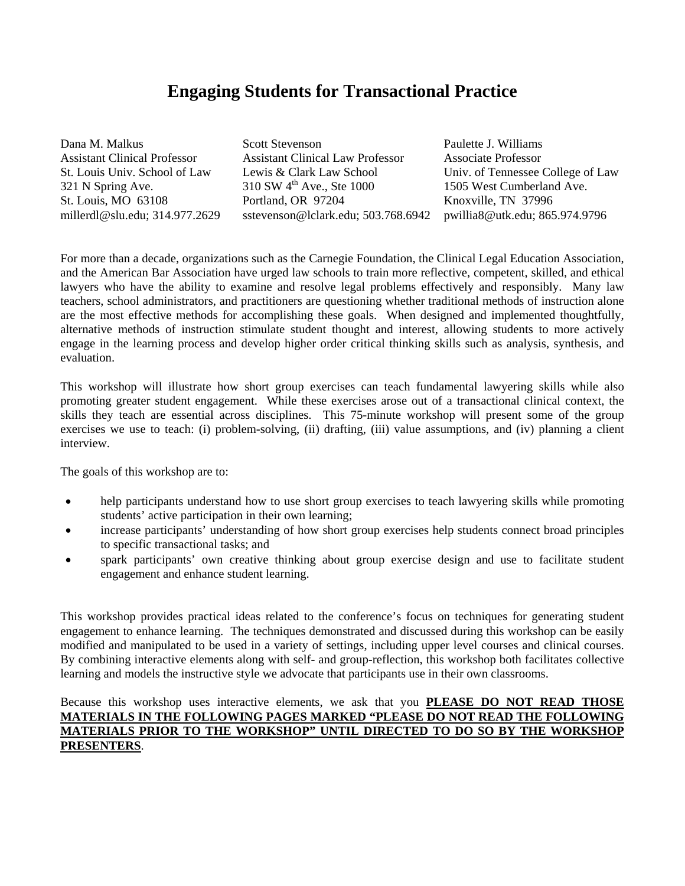# **Engaging Students for Transactional Practice**

| Dana M. Malkus                      | <b>Scott Stevenson</b>                  | Paulette J. Williams              |
|-------------------------------------|-----------------------------------------|-----------------------------------|
| <b>Assistant Clinical Professor</b> | <b>Assistant Clinical Law Professor</b> | <b>Associate Professor</b>        |
| St. Louis Univ. School of Law       | Lewis & Clark Law School                | Univ. of Tennessee College of Law |
| 321 N Spring Ave.                   | $310$ SW 4 <sup>th</sup> Ave., Ste 1000 | 1505 West Cumberland Ave.         |
| St. Louis, MO 63108                 | Portland, OR 97204                      | Knoxville, TN 37996               |
| millerdl@slu.edu; 314.977.2629      | sstevenson@lclark.edu; 503.768.6942     | pwillia8@utk.edu; 865.974.9796    |

For more than a decade, organizations such as the Carnegie Foundation, the Clinical Legal Education Association, and the American Bar Association have urged law schools to train more reflective, competent, skilled, and ethical lawyers who have the ability to examine and resolve legal problems effectively and responsibly. Many law teachers, school administrators, and practitioners are questioning whether traditional methods of instruction alone are the most effective methods for accomplishing these goals. When designed and implemented thoughtfully, alternative methods of instruction stimulate student thought and interest, allowing students to more actively engage in the learning process and develop higher order critical thinking skills such as analysis, synthesis, and evaluation.

This workshop will illustrate how short group exercises can teach fundamental lawyering skills while also promoting greater student engagement. While these exercises arose out of a transactional clinical context, the skills they teach are essential across disciplines. This 75-minute workshop will present some of the group exercises we use to teach: (i) problem-solving, (ii) drafting, (iii) value assumptions, and (iv) planning a client interview.

The goals of this workshop are to:

- help participants understand how to use short group exercises to teach lawyering skills while promoting students' active participation in their own learning;
- increase participants' understanding of how short group exercises help students connect broad principles to specific transactional tasks; and
- spark participants' own creative thinking about group exercise design and use to facilitate student engagement and enhance student learning.

This workshop provides practical ideas related to the conference's focus on techniques for generating student engagement to enhance learning. The techniques demonstrated and discussed during this workshop can be easily modified and manipulated to be used in a variety of settings, including upper level courses and clinical courses. By combining interactive elements along with self- and group-reflection, this workshop both facilitates collective learning and models the instructive style we advocate that participants use in their own classrooms.

## Because this workshop uses interactive elements, we ask that you **PLEASE DO NOT READ THOSE MATERIALS IN THE FOLLOWING PAGES MARKED "PLEASE DO NOT READ THE FOLLOWING MATERIALS PRIOR TO THE WORKSHOP" UNTIL DIRECTED TO DO SO BY THE WORKSHOP PRESENTERS**.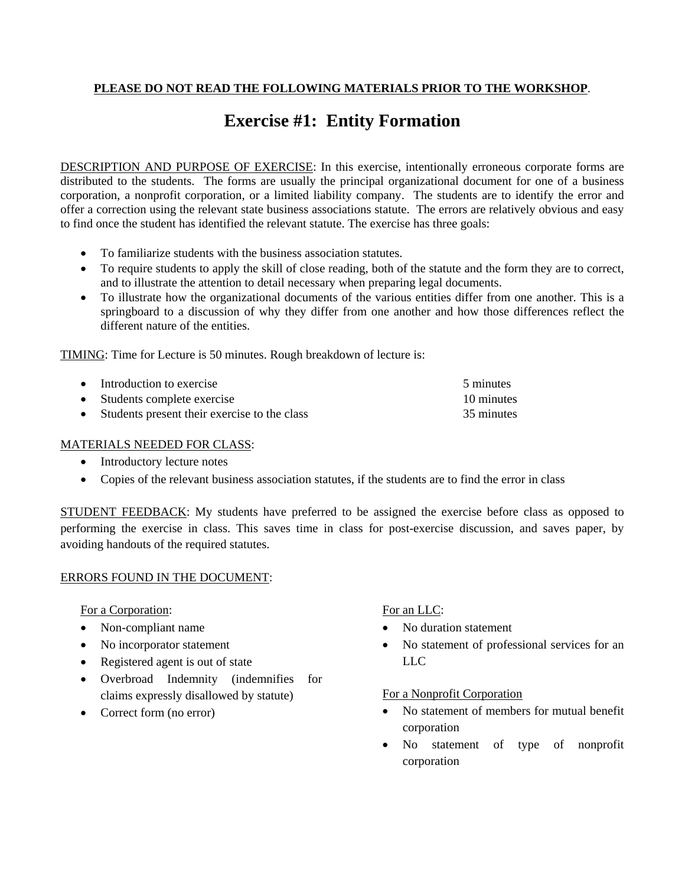# **Exercise #1: Entity Formation**

DESCRIPTION AND PURPOSE OF EXERCISE: In this exercise, intentionally erroneous corporate forms are distributed to the students. The forms are usually the principal organizational document for one of a business corporation, a nonprofit corporation, or a limited liability company. The students are to identify the error and offer a correction using the relevant state business associations statute. The errors are relatively obvious and easy to find once the student has identified the relevant statute. The exercise has three goals:

- To familiarize students with the business association statutes.
- To require students to apply the skill of close reading, both of the statute and the form they are to correct, and to illustrate the attention to detail necessary when preparing legal documents.
- To illustrate how the organizational documents of the various entities differ from one another. This is a springboard to a discussion of why they differ from one another and how those differences reflect the different nature of the entities.

TIMING: Time for Lecture is 50 minutes. Rough breakdown of lecture is:

| • Introduction to exercise                     | 5 minutes  |
|------------------------------------------------|------------|
| • Students complete exercise                   | 10 minutes |
| • Students present their exercise to the class | 35 minutes |

## MATERIALS NEEDED FOR CLASS:

- Introductory lecture notes
- Copies of the relevant business association statutes, if the students are to find the error in class

STUDENT FEEDBACK: My students have preferred to be assigned the exercise before class as opposed to performing the exercise in class. This saves time in class for post-exercise discussion, and saves paper, by avoiding handouts of the required statutes.

## ERRORS FOUND IN THE DOCUMENT:

For a Corporation:

- Non-compliant name
- No incorporator statement
- Registered agent is out of state
- Overbroad Indemnity (indemnifies for claims expressly disallowed by statute)
- Correct form (no error)

## For an LLC:

- No duration statement
- No statement of professional services for an LLC

## For a Nonprofit Corporation

- No statement of members for mutual benefit corporation
- No statement of type of nonprofit corporation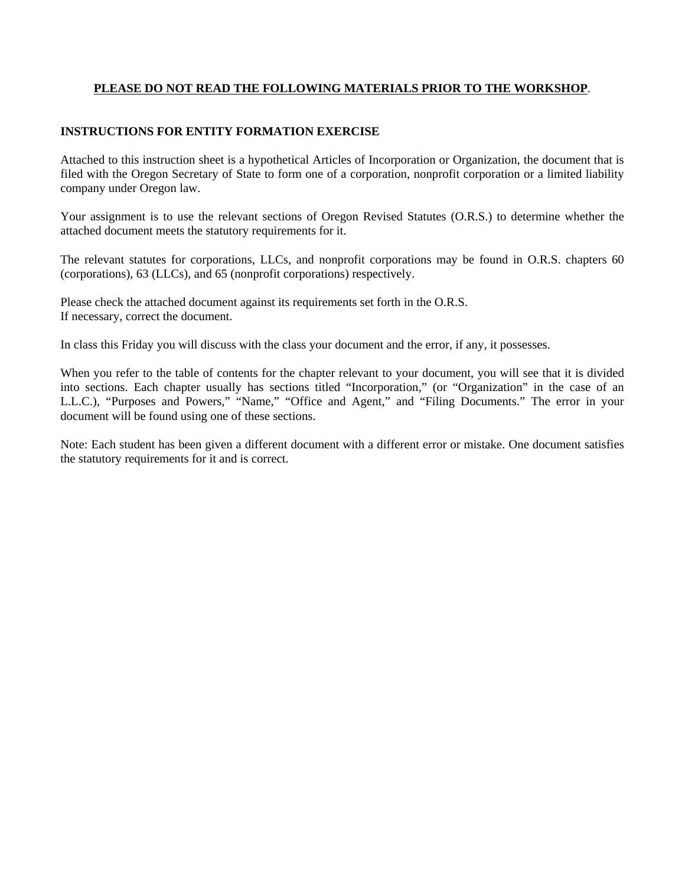## **INSTRUCTIONS FOR ENTITY FORMATION EXERCISE**

Attached to this instruction sheet is a hypothetical Articles of Incorporation or Organization, the document that is filed with the Oregon Secretary of State to form one of a corporation, nonprofit corporation or a limited liability company under Oregon law.

Your assignment is to use the relevant sections of Oregon Revised Statutes (O.R.S.) to determine whether the attached document meets the statutory requirements for it.

The relevant statutes for corporations, LLCs, and nonprofit corporations may be found in O.R.S. chapters 60 (corporations), 63 (LLCs), and 65 (nonprofit corporations) respectively.

Please check the attached document against its requirements set forth in the O.R.S. If necessary, correct the document.

In class this Friday you will discuss with the class your document and the error, if any, it possesses.

When you refer to the table of contents for the chapter relevant to your document, you will see that it is divided into sections. Each chapter usually has sections titled "Incorporation," (or "Organization" in the case of an L.L.C.), "Purposes and Powers," "Name," "Office and Agent," and "Filing Documents." The error in your document will be found using one of these sections.

Note: Each student has been given a different document with a different error or mistake. One document satisfies the statutory requirements for it and is correct.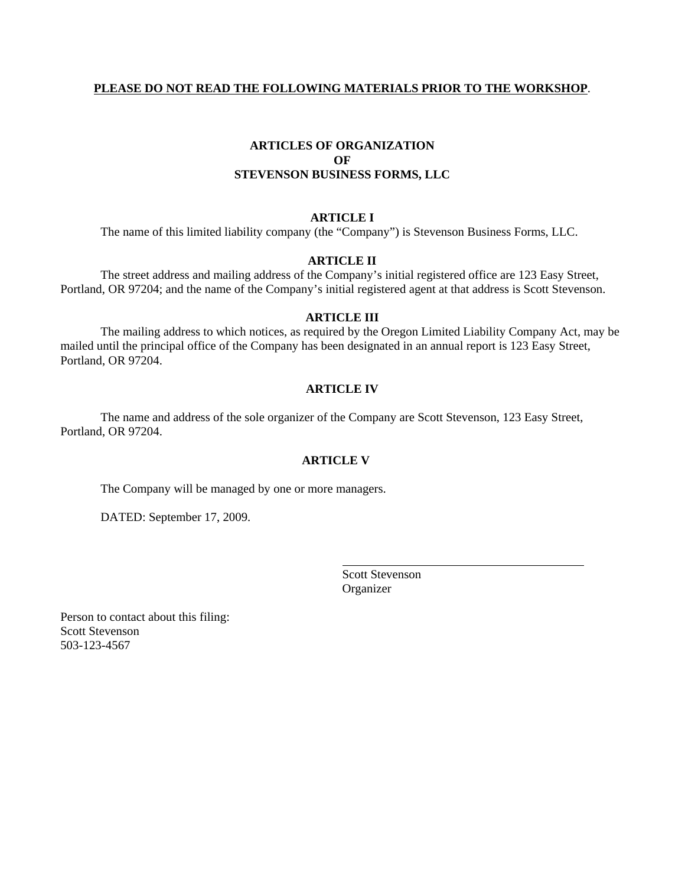# **ARTICLES OF ORGANIZATION OF STEVENSON BUSINESS FORMS, LLC**

#### **ARTICLE I**

The name of this limited liability company (the "Company") is Stevenson Business Forms, LLC.

#### **ARTICLE II**

 The street address and mailing address of the Company's initial registered office are 123 Easy Street, Portland, OR 97204; and the name of the Company's initial registered agent at that address is Scott Stevenson.

#### **ARTICLE III**

 The mailing address to which notices, as required by the Oregon Limited Liability Company Act, may be mailed until the principal office of the Company has been designated in an annual report is 123 Easy Street, Portland, OR 97204.

#### **ARTICLE IV**

 The name and address of the sole organizer of the Company are Scott Stevenson, 123 Easy Street, Portland, OR 97204.

#### **ARTICLE V**

The Company will be managed by one or more managers.

DATED: September 17, 2009.

 Scott Stevenson Organizer

Person to contact about this filing: Scott Stevenson 503-123-4567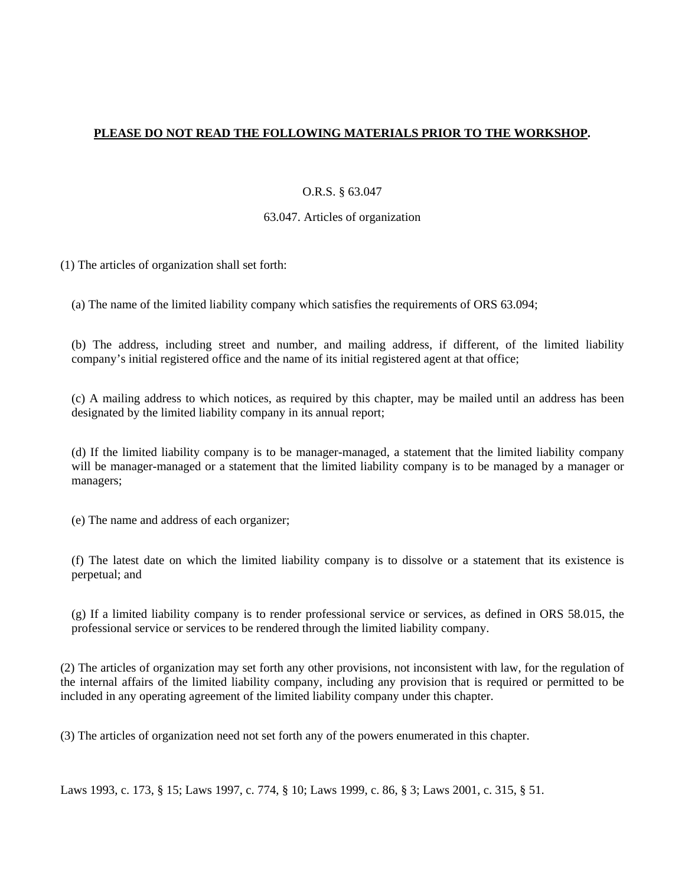## O.R.S. § 63.047

### 63.047. Articles of organization

(1) The articles of organization shall set forth:

(a) The name of the limited liability company which satisfies the requirements of ORS 63.094;

(b) The address, including street and number, and mailing address, if different, of the limited liability company's initial registered office and the name of its initial registered agent at that office;

(c) A mailing address to which notices, as required by this chapter, may be mailed until an address has been designated by the limited liability company in its annual report;

(d) If the limited liability company is to be manager-managed, a statement that the limited liability company will be manager-managed or a statement that the limited liability company is to be managed by a manager or managers;

(e) The name and address of each organizer;

(f) The latest date on which the limited liability company is to dissolve or a statement that its existence is perpetual; and

(g) If a limited liability company is to render professional service or services, as defined in ORS 58.015, the professional service or services to be rendered through the limited liability company.

(2) The articles of organization may set forth any other provisions, not inconsistent with law, for the regulation of the internal affairs of the limited liability company, including any provision that is required or permitted to be included in any operating agreement of the limited liability company under this chapter.

(3) The articles of organization need not set forth any of the powers enumerated in this chapter.

Laws 1993, c. 173, § 15; Laws 1997, c. 774, § 10; Laws 1999, c. 86, § 3; Laws 2001, c. 315, § 51.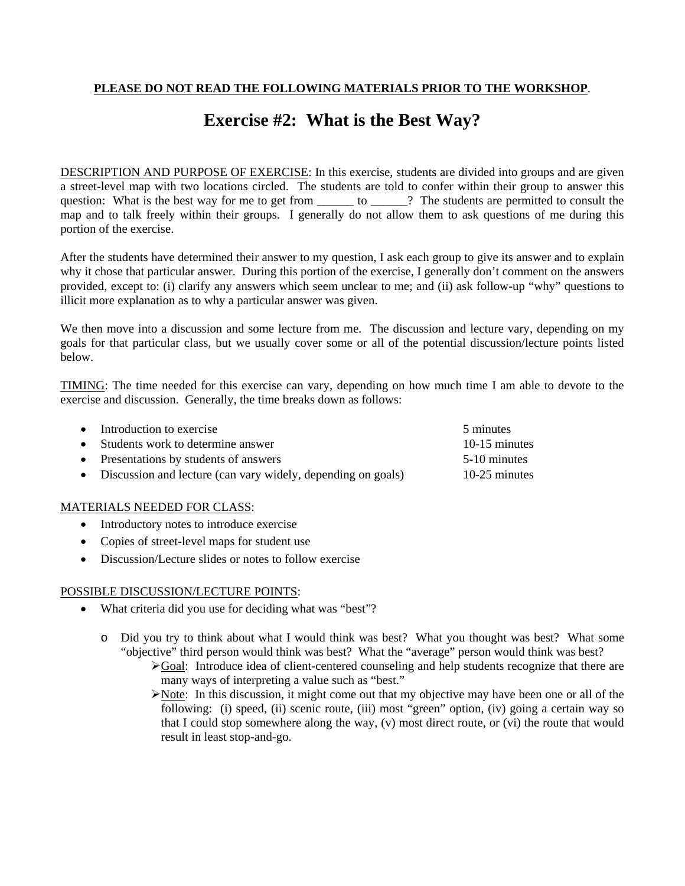# **Exercise #2: What is the Best Way?**

DESCRIPTION AND PURPOSE OF EXERCISE: In this exercise, students are divided into groups and are given a street-level map with two locations circled. The students are told to confer within their group to answer this question: What is the best way for me to get from \_\_\_\_\_\_\_ to \_\_\_\_\_\_? The students are permitted to consult the map and to talk freely within their groups. I generally do not allow them to ask questions of me during this portion of the exercise.

After the students have determined their answer to my question, I ask each group to give its answer and to explain why it chose that particular answer. During this portion of the exercise, I generally don't comment on the answers provided, except to: (i) clarify any answers which seem unclear to me; and (ii) ask follow-up "why" questions to illicit more explanation as to why a particular answer was given.

We then move into a discussion and some lecture from me. The discussion and lecture vary, depending on my goals for that particular class, but we usually cover some or all of the potential discussion/lecture points listed below.

TIMING: The time needed for this exercise can vary, depending on how much time I am able to devote to the exercise and discussion. Generally, the time breaks down as follows:

| • Introduction to exercise                                     | 5 minutes     |
|----------------------------------------------------------------|---------------|
| • Students work to determine answer                            | 10-15 minutes |
| • Presentations by students of answers                         | 5-10 minutes  |
| • Discussion and lecture (can vary widely, depending on goals) | 10-25 minutes |

## MATERIALS NEEDED FOR CLASS:

- Introductory notes to introduce exercise
- Copies of street-level maps for student use
- Discussion/Lecture slides or notes to follow exercise

#### POSSIBLE DISCUSSION/LECTURE POINTS:

- What criteria did you use for deciding what was "best"?
	- o Did you try to think about what I would think was best? What you thought was best? What some "objective" third person would think was best? What the "average" person would think was best?
		- $\blacktriangleright$  Goal: Introduce idea of client-centered counseling and help students recognize that there are many ways of interpreting a value such as "best."
		- Note: In this discussion, it might come out that my objective may have been one or all of the following: (i) speed, (ii) scenic route, (iii) most "green" option, (iv) going a certain way so that I could stop somewhere along the way, (v) most direct route, or (vi) the route that would result in least stop-and-go.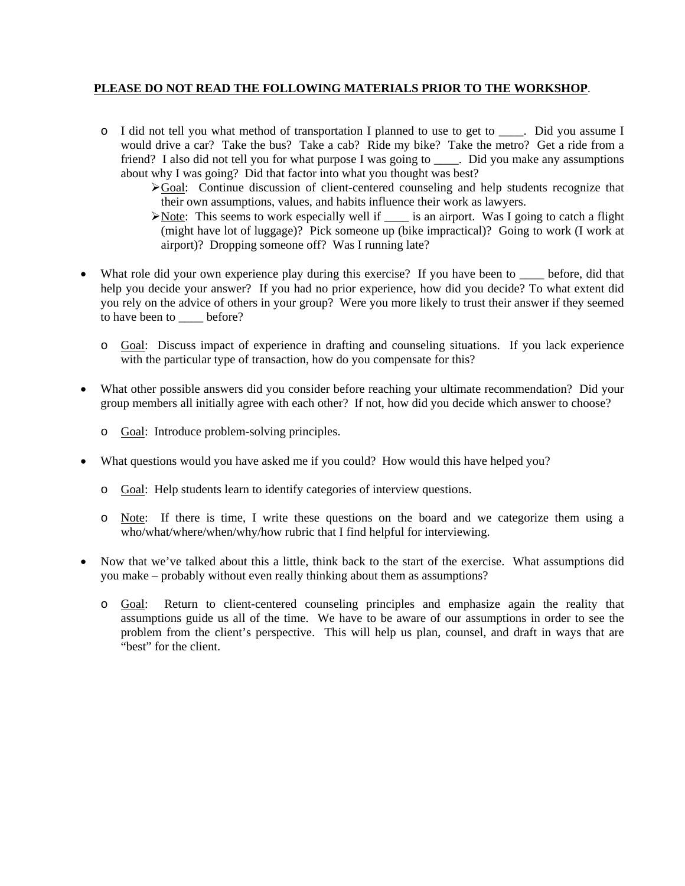- o I did not tell you what method of transportation I planned to use to get to \_\_\_\_. Did you assume I would drive a car? Take the bus? Take a cab? Ride my bike? Take the metro? Get a ride from a friend? I also did not tell you for what purpose I was going to \_\_\_\_. Did you make any assumptions about why I was going? Did that factor into what you thought was best?
	- Goal: Continue discussion of client-centered counseling and help students recognize that their own assumptions, values, and habits influence their work as lawyers.
	- Note: This seems to work especially well if  $\_\_$  is an airport. Was I going to catch a flight (might have lot of luggage)? Pick someone up (bike impractical)? Going to work (I work at airport)? Dropping someone off? Was I running late?
- What role did your own experience play during this exercise? If you have been to \_\_\_\_ before, did that help you decide your answer? If you had no prior experience, how did you decide? To what extent did you rely on the advice of others in your group? Were you more likely to trust their answer if they seemed to have been to before?
	- o Goal: Discuss impact of experience in drafting and counseling situations. If you lack experience with the particular type of transaction, how do you compensate for this?
- What other possible answers did you consider before reaching your ultimate recommendation? Did your group members all initially agree with each other? If not, how did you decide which answer to choose?
	- o Goal: Introduce problem-solving principles.
- What questions would you have asked me if you could? How would this have helped you?
	- o Goal: Help students learn to identify categories of interview questions.
	- o Note: If there is time, I write these questions on the board and we categorize them using a who/what/where/when/why/how rubric that I find helpful for interviewing.
- Now that we've talked about this a little, think back to the start of the exercise. What assumptions did you make – probably without even really thinking about them as assumptions?
	- o Goal: Return to client-centered counseling principles and emphasize again the reality that assumptions guide us all of the time. We have to be aware of our assumptions in order to see the problem from the client's perspective. This will help us plan, counsel, and draft in ways that are "best" for the client.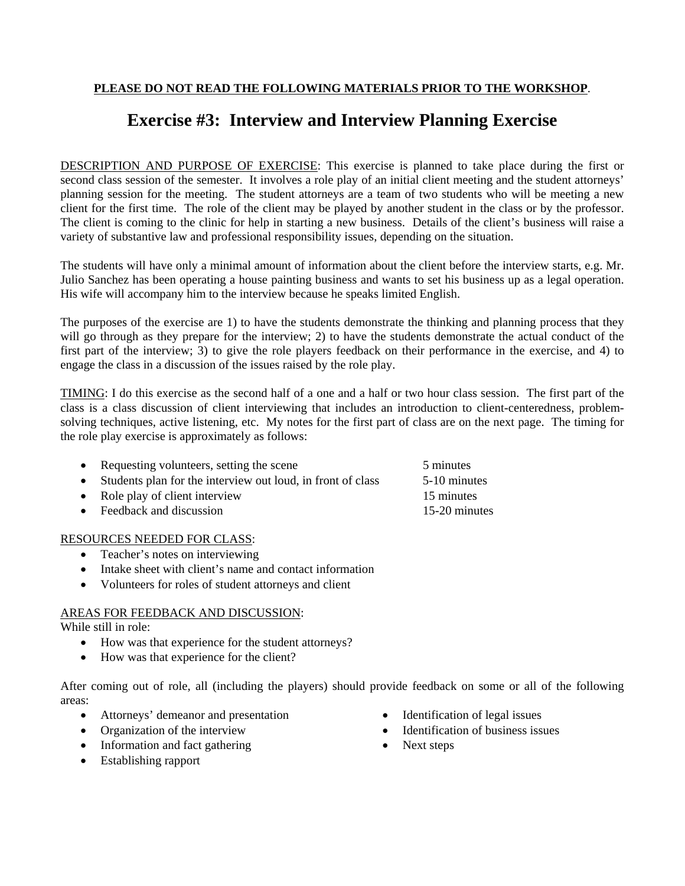# **Exercise #3: Interview and Interview Planning Exercise**

DESCRIPTION AND PURPOSE OF EXERCISE: This exercise is planned to take place during the first or second class session of the semester. It involves a role play of an initial client meeting and the student attorneys' planning session for the meeting. The student attorneys are a team of two students who will be meeting a new client for the first time. The role of the client may be played by another student in the class or by the professor. The client is coming to the clinic for help in starting a new business. Details of the client's business will raise a variety of substantive law and professional responsibility issues, depending on the situation.

The students will have only a minimal amount of information about the client before the interview starts, e.g. Mr. Julio Sanchez has been operating a house painting business and wants to set his business up as a legal operation. His wife will accompany him to the interview because he speaks limited English.

The purposes of the exercise are 1) to have the students demonstrate the thinking and planning process that they will go through as they prepare for the interview; 2) to have the students demonstrate the actual conduct of the first part of the interview; 3) to give the role players feedback on their performance in the exercise, and 4) to engage the class in a discussion of the issues raised by the role play.

TIMING: I do this exercise as the second half of a one and a half or two hour class session. The first part of the class is a class discussion of client interviewing that includes an introduction to client-centeredness, problemsolving techniques, active listening, etc. My notes for the first part of class are on the next page. The timing for the role play exercise is approximately as follows:

| • Requesting volunteers, setting the scene                    | 5 minutes     |
|---------------------------------------------------------------|---------------|
| • Students plan for the interview out loud, in front of class | 5-10 minutes  |
| • Role play of client interview                               | 15 minutes    |
| $\bullet$ Feedback and discussion                             | 15-20 minutes |
|                                                               |               |

# RESOURCES NEEDED FOR CLASS:

- Teacher's notes on interviewing
- Intake sheet with client's name and contact information
- Volunteers for roles of student attorneys and client

# AREAS FOR FEEDBACK AND DISCUSSION:

While still in role:

- How was that experience for the student attorneys?
- How was that experience for the client?

After coming out of role, all (including the players) should provide feedback on some or all of the following areas:

- Attorneys' demeanor and presentation
- Organization of the interview
- Information and fact gathering
- Establishing rapport
- Identification of legal issues
- Identification of business issues
- Next steps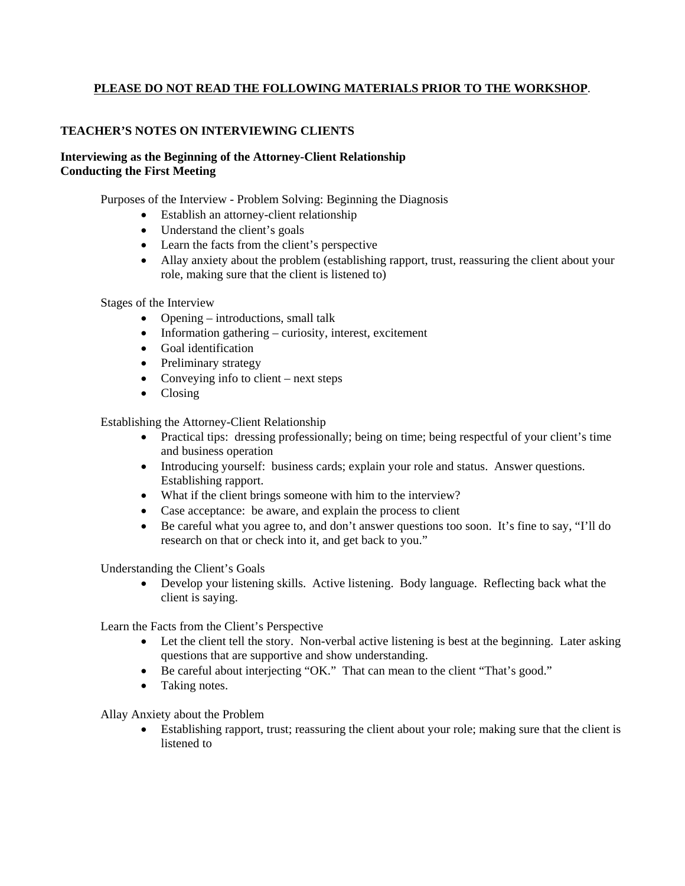# **TEACHER'S NOTES ON INTERVIEWING CLIENTS**

## **Interviewing as the Beginning of the Attorney-Client Relationship Conducting the First Meeting**

Purposes of the Interview - Problem Solving: Beginning the Diagnosis

- Establish an attorney-client relationship
- Understand the client's goals
- Learn the facts from the client's perspective
- Allay anxiety about the problem (establishing rapport, trust, reassuring the client about your role, making sure that the client is listened to)

Stages of the Interview

- Opening introductions, small talk
- Information gathering curiosity, interest, excitement
- Goal identification
- Preliminary strategy
- Conveying info to client next steps
- Closing

Establishing the Attorney-Client Relationship

- Practical tips: dressing professionally; being on time; being respectful of your client's time and business operation
- Introducing yourself: business cards; explain your role and status. Answer questions. Establishing rapport.
- What if the client brings someone with him to the interview?
- Case acceptance: be aware, and explain the process to client
- Be careful what you agree to, and don't answer questions too soon. It's fine to say, "I'll do research on that or check into it, and get back to you."

Understanding the Client's Goals

 Develop your listening skills. Active listening. Body language. Reflecting back what the client is saying.

Learn the Facts from the Client's Perspective

- Let the client tell the story. Non-verbal active listening is best at the beginning. Later asking questions that are supportive and show understanding.
- Be careful about interjecting "OK." That can mean to the client "That's good."
- Taking notes.

Allay Anxiety about the Problem

 Establishing rapport, trust; reassuring the client about your role; making sure that the client is listened to